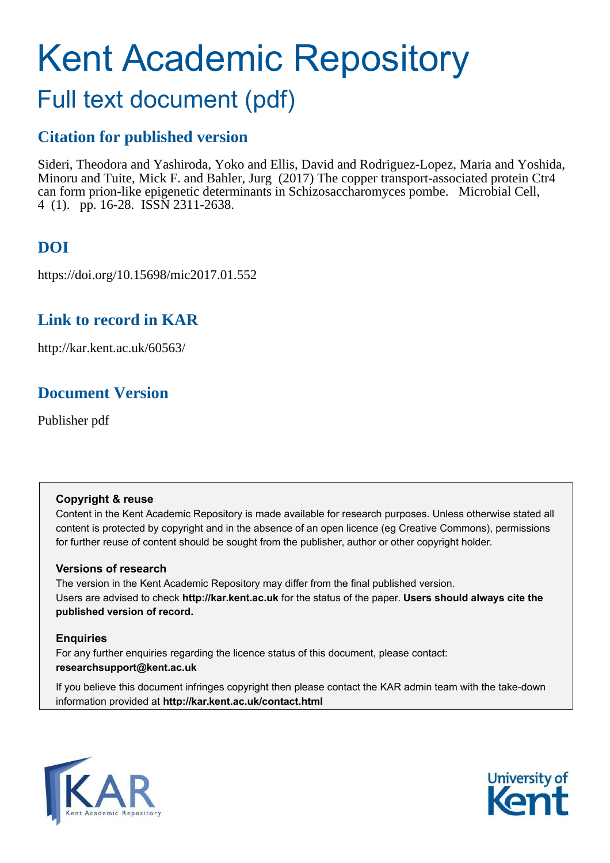# Kent Academic Repository

## Full text document (pdf)

## **Citation for published version**

Sideri, Theodora and Yashiroda, Yoko and Ellis, David and Rodriguez-Lopez, Maria and Yoshida, Minoru and Tuite, Mick F. and Bahler, Jurg (2017) The copper transport-associated protein Ctr4 can form prion-like epigenetic determinants in Schizosaccharomyces pombe. Microbial Cell, 4 (1). pp. 16-28. ISSN 2311-2638.

## **DOI**

https://doi.org/10.15698/mic2017.01.552

## **Link to record in KAR**

http://kar.kent.ac.uk/60563/

## **Document Version**

Publisher pdf

#### **Copyright & reuse**

Content in the Kent Academic Repository is made available for research purposes. Unless otherwise stated all content is protected by copyright and in the absence of an open licence (eg Creative Commons), permissions for further reuse of content should be sought from the publisher, author or other copyright holder.

#### **Versions of research**

The version in the Kent Academic Repository may differ from the final published version. Users are advised to check **http://kar.kent.ac.uk** for the status of the paper. **Users should always cite the published version of record.**

### **Enquiries**

For any further enquiries regarding the licence status of this document, please contact: **researchsupport@kent.ac.uk**

If you believe this document infringes copyright then please contact the KAR admin team with the take-down information provided at **http://kar.kent.ac.uk/contact.html**



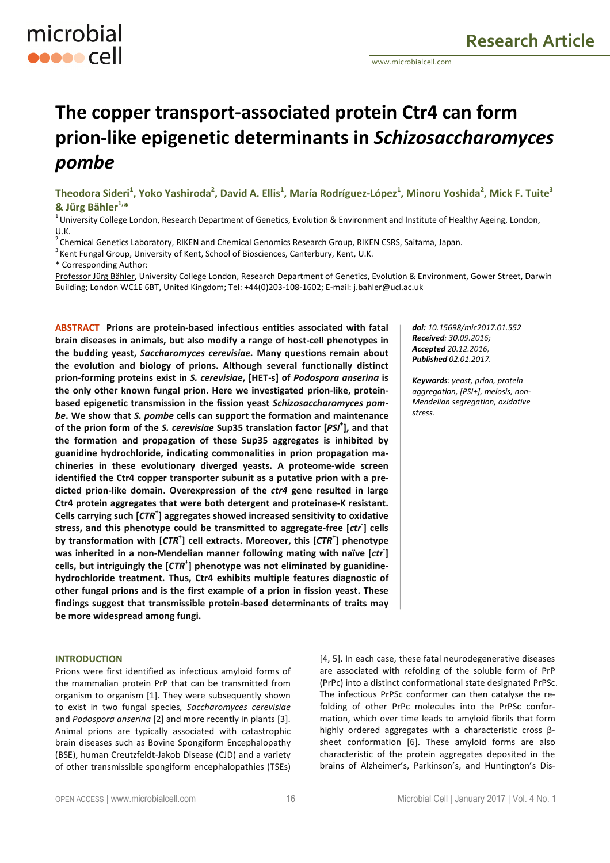## **The copper transport-associated protein Ctr4 can form prion-like epigenetic determinants in** *Schizosaccharomyces pombe*

**Theodora Sideri<sup>1</sup> , Yoko Yashiroda<sup>2</sup> , David A. Ellis<sup>1</sup> , María Rodríguez-López<sup>1</sup> , Minoru Yoshida<sup>2</sup> , Mick F. Tuite<sup>3</sup> & Jürg Bähler1,\*** 

 $1$ University College London, Research Department of Genetics, Evolution & Environment and Institute of Healthy Ageing, London, U.K.

 $2$ Chemical Genetics Laboratory, RIKEN and Chemical Genomics Research Group, RIKEN CSRS, Saitama, Japan.

 $3$  Kent Fungal Group, University of Kent, School of Biosciences, Canterbury, Kent, U.K.

\* Corresponding Author:

microbial

**ODDOOCCII** 

Professor Jürg Bähler, University College London, Research Department of Genetics, Evolution & Environment, Gower Street, Darwin Building; London WC1E 6BT, United Kingdom; Tel: +44(0)203-108-1602; E-mail: j.bahler@ucl.ac.uk

**ABSTRACT Prions are protein-based infectious entities associated with fatal brain diseases in animals, but also modify a range of host-cell phenotypes in the budding yeast,** *Saccharomyces cerevisiae.* **Many questions remain about the evolution and biology of prions. Although several functionally distinct prion-forming proteins exist in** *S. cerevisiae***, [HET-s] of** *Podospora anserina* **is the only other known fungal prion. Here we investigated prion-like, proteinbased epigenetic transmission in the fission yeast** *Schizosaccharomyces pombe***. We show that** *S. pombe* **cells can support the formation and maintenance of the prion form of the** *S. cerevisiae* **Sup35 translation factor [***PSI***<sup>+</sup> ], and that the formation and propagation of these Sup35 aggregates is inhibited by guanidine hydrochloride, indicating commonalities in prion propagation machineries in these evolutionary diverged yeasts. A proteome-wide screen identified the Ctr4 copper transporter subunit as a putative prion with a predicted prion-like domain. Overexpression of the** *ctr4* **gene resulted in large Ctr4 protein aggregates that were both detergent and proteinase-K resistant. Cells carrying such [***CTR***<sup>+</sup> ] aggregates showed increased sensitivity to oxidative stress, and this phenotype could be transmitted to aggregate-free [***ctr***- ] cells by transformation with [***CTR***<sup>+</sup> ] cell extracts. Moreover, this [***CTR***<sup>+</sup> ] phenotype was inherited in a non-Mendelian manner following mating with naïve [***ctr***- ] cells, but intriguingly the [***CTR***<sup>+</sup> ] phenotype was not eliminated by guanidinehydrochloride treatment. Thus, Ctr4 exhibits multiple features diagnostic of other fungal prions and is the first example of a prion in fission yeast. These findings suggest that transmissible protein-based determinants of traits may be more widespread among fungi.**

#### **INTRODUCTION**

Prions were first identified as infectious amyloid forms of the mammalian protein PrP that can be transmitted from organism to organism [1]. They were subsequently shown to exist in two fungal species*, Saccharomyces cerevisiae* and *Podospora anserina* [2] and more recently in plants [3]. Animal prions are typically associated with catastrophic brain diseases such as Bovine Spongiform Encephalopathy (BSE), human Creutzfeldt-Jakob Disease (CJD) and a variety of other transmissible spongiform encephalopathies (TSEs) *doi: 10.15698/mic2017.01.552 Received: 30.09.2016; Accepted 20.12.2016, Published 02.01.2017.*

*Keywords: yeast, prion, protein aggregation, [PSI+], meiosis, non-Mendelian segregation, oxidative stress.* 

[4, 5]. In each case, these fatal neurodegenerative diseases are associated with refolding of the soluble form of PrP (PrPc) into a distinct conformational state designated PrPSc. The infectious PrPSc conformer can then catalyse the refolding of other PrPc molecules into the PrPSc conformation, which over time leads to amyloid fibrils that form highly ordered aggregates with a characteristic cross βsheet conformation [6]. These amyloid forms are also characteristic of the protein aggregates deposited in the brains of Alzheimer's, Parkinson's, and Huntington's Dis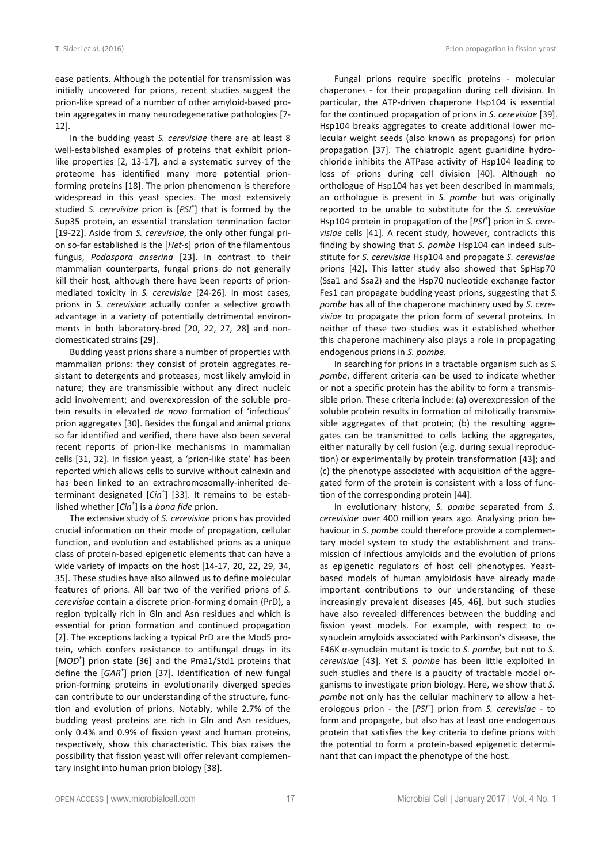ease patients. Although the potential for transmission was initially uncovered for prions, recent studies suggest the prion-like spread of a number of other amyloid-based protein aggregates in many neurodegenerative pathologies [7- 12].

In the budding yeast *S. cerevisiae* there are at least 8 well-established examples of proteins that exhibit prionlike properties [2, 13-17], and a systematic survey of the proteome has identified many more potential prionforming proteins [18]. The prion phenomenon is therefore widespread in this yeast species. The most extensively studied S. cerevisiae prion is [PSI<sup>+</sup>] that is formed by the Sup35 protein, an essential translation termination factor [19-22]. Aside from *S. cerevisiae*, the only other fungal prion so-far established is the [*Het*-s] prion of the filamentous fungus, *Podospora anserina* [23]. In contrast to their mammalian counterparts, fungal prions do not generally kill their host, although there have been reports of prionmediated toxicity in *S. cerevisiae* [24-26]. In most cases, prions in *S. cerevisiae* actually confer a selective growth advantage in a variety of potentially detrimental environments in both laboratory-bred [20, 22, 27, 28] and nondomesticated strains [29].

Budding yeast prions share a number of properties with mammalian prions: they consist of protein aggregates resistant to detergents and proteases, most likely amyloid in nature; they are transmissible without any direct nucleic acid involvement; and overexpression of the soluble protein results in elevated *de novo* formation of 'infectious' prion aggregates [30]. Besides the fungal and animal prions so far identified and verified, there have also been several recent reports of prion-like mechanisms in mammalian cells [31, 32]. In fission yeast*,* a 'prion-like state' has been reported which allows cells to survive without calnexin and has been linked to an extrachromosomally-inherited determinant designated [*Cin<sup>+</sup>* ] [33]. It remains to be established whether [*Cin<sup>+</sup>* ] is a *bona fide* prion.

The extensive study of *S. cerevisiae* prions has provided crucial information on their mode of propagation, cellular function, and evolution and established prions as a unique class of protein-based epigenetic elements that can have a wide variety of impacts on the host [14-17, 20, 22, 29, 34, 35]. These studies have also allowed us to define molecular features of prions. All bar two of the verified prions of *S. cerevisiae* contain a discrete prion-forming domain (PrD), a region typically rich in Gln and Asn residues and which is essential for prion formation and continued propagation [2]. The exceptions lacking a typical PrD are the Mod5 protein, which confers resistance to antifungal drugs in its [MOD<sup>+</sup>] prion state [36] and the Pma1/Std1 proteins that define the [GAR<sup>+</sup>] prion [37]. Identification of new fungal prion-forming proteins in evolutionarily diverged species can contribute to our understanding of the structure, function and evolution of prions. Notably, while 2.7% of the budding yeast proteins are rich in Gln and Asn residues, only 0.4% and 0.9% of fission yeast and human proteins, respectively, show this characteristic. This bias raises the possibility that fission yeast will offer relevant complementary insight into human prion biology [38].

Fungal prions require specific proteins - molecular chaperones - for their propagation during cell division. In particular, the ATP-driven chaperone Hsp104 is essential for the continued propagation of prions in *S. cerevisiae* [39]. Hsp104 breaks aggregates to create additional lower molecular weight seeds (also known as propagons) for prion propagation [37]. The chiatropic agent guanidine hydrochloride inhibits the ATPase activity of Hsp104 leading to loss of prions during cell division [40]. Although no orthologue of Hsp104 has yet been described in mammals, an orthologue is present in *S. pombe* but was originally reported to be unable to substitute for the *S. cerevisiae* Hsp104 protein in propagation of the [*PSI*<sup>+</sup> ] prion in *S. cerevisiae* cells [41]. A recent study, however, contradicts this finding by showing that *S. pombe* Hsp104 can indeed substitute for *S. cerevisiae* Hsp104 and propagate *S. cerevisiae* prions [42]. This latter study also showed that SpHsp70 (Ssa1 and Ssa2) and the Hsp70 nucleotide exchange factor Fes1 can propagate budding yeast prions, suggesting that *S. pombe* has all of the chaperone machinery used by *S. cerevisiae* to propagate the prion form of several proteins. In neither of these two studies was it established whether this chaperone machinery also plays a role in propagating endogenous prions in *S. pombe*.

In searching for prions in a tractable organism such as *S. pombe*, different criteria can be used to indicate whether or not a specific protein has the ability to form a transmissible prion. These criteria include: (a) overexpression of the soluble protein results in formation of mitotically transmissible aggregates of that protein; (b) the resulting aggregates can be transmitted to cells lacking the aggregates, either naturally by cell fusion (e.g. during sexual reproduction) or experimentally by protein transformation [43]; and (c) the phenotype associated with acquisition of the aggregated form of the protein is consistent with a loss of function of the corresponding protein [44].

In evolutionary history, *S. pombe* separated from *S. cerevisiae* over 400 million years ago. Analysing prion behaviour in *S. pombe* could therefore provide a complementary model system to study the establishment and transmission of infectious amyloids and the evolution of prions as epigenetic regulators of host cell phenotypes. Yeastbased models of human amyloidosis have already made important contributions to our understanding of these increasingly prevalent diseases [45, 46], but such studies have also revealed differences between the budding and fission yeast models. For example, with respect to  $\alpha$ synuclein amyloids associated with Parkinson's disease, the E46K α-synuclein mutant is toxic to *S. pombe,* but not to *S. cerevisiae* [43]. Yet *S. pombe* has been little exploited in such studies and there is a paucity of tractable model organisms to investigate prion biology. Here, we show that *S. pombe* not only has the cellular machinery to allow a heterologous prion - the [*PSI*<sup>+</sup> ] prion from *S. cerevisiae* - to form and propagate, but also has at least one endogenous protein that satisfies the key criteria to define prions with the potential to form a protein-based epigenetic determinant that can impact the phenotype of the host.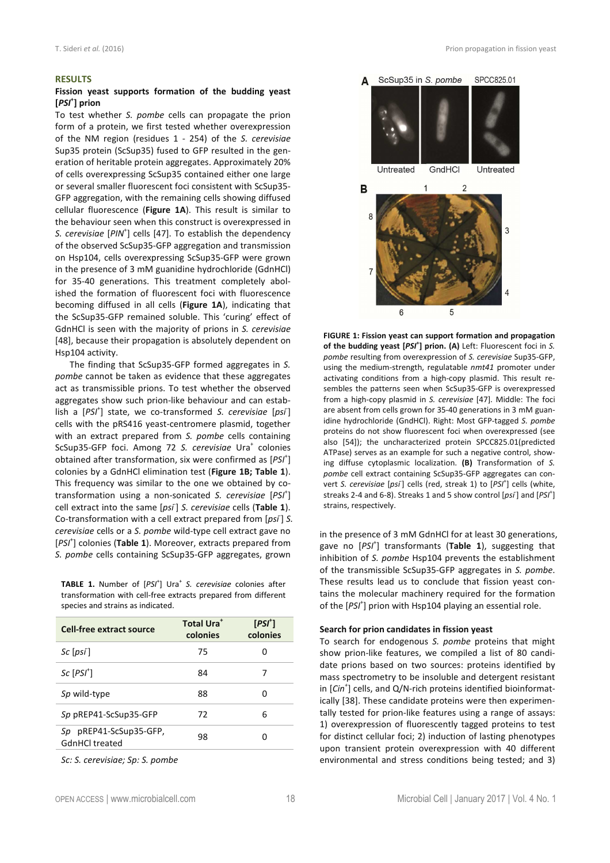#### **RESULTS**

#### **Fission yeast supports formation of the budding yeast [***PSI***<sup>+</sup> ] prion**

To test whether *S. pombe* cells can propagate the prion form of a protein, we first tested whether overexpression of the NM region (residues 1 - 254) of the *S. cerevisiae* Sup35 protein (ScSup35) fused to GFP resulted in the generation of heritable protein aggregates. Approximately 20% of cells overexpressing ScSup35 contained either one large or several smaller fluorescent foci consistent with ScSup35- GFP aggregation, with the remaining cells showing diffused cellular fluorescence (**Figure 1A**). This result is similar to the behaviour seen when this construct is overexpressed in *S. cerevisiae* [*PIN*<sup>+</sup> ] cells [47]. To establish the dependency of the observed ScSup35-GFP aggregation and transmission on Hsp104, cells overexpressing ScSup35-GFP were grown in the presence of 3 mM guanidine hydrochloride (GdnHCl) for 35-40 generations. This treatment completely abolished the formation of fluorescent foci with fluorescence becoming diffused in all cells (**Figure 1A**), indicating that the ScSup35-GFP remained soluble. This 'curing' effect of GdnHCl is seen with the majority of prions in *S. cerevisiae* [48], because their propagation is absolutely dependent on Hsp104 activity.

The finding that ScSup35-GFP formed aggregates in *S. pombe* cannot be taken as evidence that these aggregates act as transmissible prions. To test whether the observed aggregates show such prion-like behaviour and can establish a [PSI<sup>+</sup>] state, we co-transformed *S. cerevisiae* [psi<sup>-</sup>] cells with the pRS416 yeast-centromere plasmid, together with an extract prepared from *S. pombe* cells containing ScSup35-GFP foci. Among 72 S. cerevisiae Ura<sup>+</sup> colonies obtained after transformation, six were confirmed as [PSI<sup>+</sup>] colonies by a GdnHCl elimination test (**Figure 1B; Table 1**). This frequency was similar to the one we obtained by cotransformation using a non-sonicated *S. cerevisiae* [*PSI*<sup>+</sup> ] cell extract into the same [*psi*- ] *S. cerevisiae* cells (**Table 1**). Co-transformation with a cell extract prepared from [psi<sup>-</sup>] S. *cerevisiae* cells or a *S. pombe* wild-type cell extract gave no [*PSI*<sup>+</sup> ] colonies (**Table 1**). Moreover, extracts prepared from *S. pombe* cells containing ScSup35-GFP aggregates, grown

**TABLE 1.** Number of [*PSI*<sup>+</sup> ] Ura<sup>+</sup> *S. cerevisiae* colonies after transformation with cell-free extracts prepared from different species and strains as indicated.

| Cell-free extract source                 | <b>Total Ura</b> <sup>+</sup><br>colonies | $[PSI^{\dagger}]$<br>colonies |
|------------------------------------------|-------------------------------------------|-------------------------------|
| $Sc$ $[\rho s\tilde{\rho}]$              | 75                                        | O                             |
| $Sc$ $[PSI^{\dagger}]$                   | 84                                        |                               |
| Sp wild-type                             | 88                                        | 0                             |
| Sp pREP41-ScSup35-GFP                    | 72                                        | 6                             |
| Sp pREP41-ScSup35-GFP,<br>GdnHCl treated | 98                                        |                               |

*Sc: S. cerevisiae; Sp: S. pombe* 



**FIGURE 1: Fission yeast can support formation and propagation of the budding yeast [***PSI***<sup>+</sup> ] prion. (A)** Left: Fluorescent foci in *S. pombe* resulting from overexpression of *S. cerevisiae* Sup35-GFP, using the medium-strength, regulatable *nmt41* promoter under activating conditions from a high-copy plasmid. This result resembles the patterns seen when ScSup35-GFP is overexpressed from a high-copy plasmid in *S. cerevisiae* [47]*.* Middle: The foci are absent from cells grown for 35-40 generations in 3 mM guanidine hydrochloride (GndHCl). Right: Most GFP-tagged *S. pombe*  proteins do not show fluorescent foci when overexpressed (see also [54]); the uncharacterized protein SPCC825.01(predicted ATPase) serves as an example for such a negative control, showing diffuse cytoplasmic localization. **(B)** Transformation of *S. pombe* cell extract containing ScSup35-GFP aggregates can convert S. cerevisiae [psi<sup>-</sup>] cells (red, streak 1) to [PSI<sup>+</sup>] cells (white, streaks 2-4 and 6-8). Streaks 1 and 5 show control [psi<sup>-</sup>] and [PSI<sup>+</sup>] strains, respectively.

in the presence of 3 mM GdnHCl for at least 30 generations, gave no [*PSI*<sup>+</sup> ] transformants (**Table 1**), suggesting that inhibition of *S. pombe* Hsp104 prevents the establishment of the transmissible ScSup35-GFP aggregates in *S. pombe*. These results lead us to conclude that fission yeast contains the molecular machinery required for the formation of the [PSI<sup>+</sup>] prion with Hsp104 playing an essential role.

#### **Search for prion candidates in fission yeast**

To search for endogenous *S. pombe* proteins that might show prion-like features, we compiled a list of 80 candidate prions based on two sources: proteins identified by mass spectrometry to be insoluble and detergent resistant in [*Cin<sup>+</sup>* ] cells, and Q/N-rich proteins identified bioinformatically [38]. These candidate proteins were then experimentally tested for prion-like features using a range of assays: 1) overexpression of fluorescently tagged proteins to test for distinct cellular foci; 2) induction of lasting phenotypes upon transient protein overexpression with 40 different environmental and stress conditions being tested; and 3)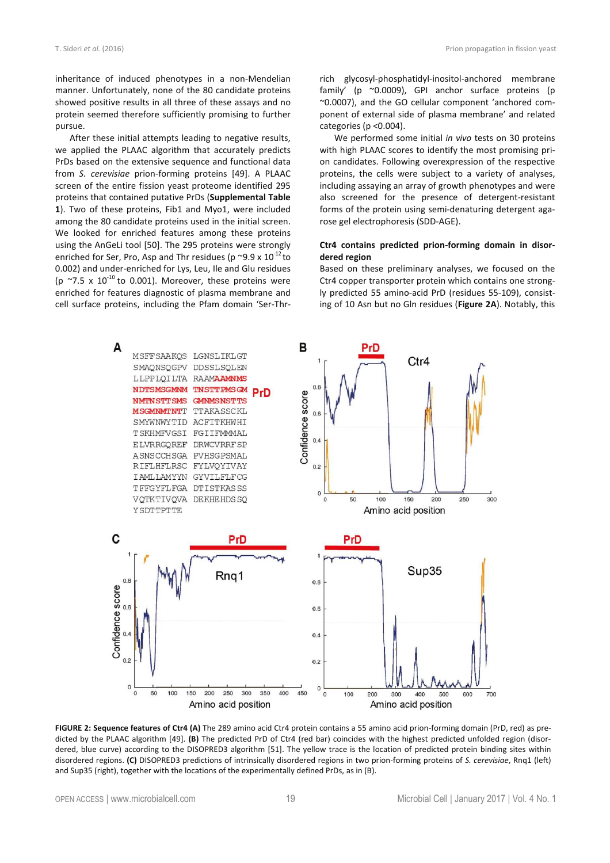inheritance of induced phenotypes in a non-Mendelian manner. Unfortunately, none of the 80 candidate proteins showed positive results in all three of these assays and no protein seemed therefore sufficiently promising to further pursue.

After these initial attempts leading to negative results, we applied the PLAAC algorithm that accurately predicts PrDs based on the extensive sequence and functional data from *S. cerevisiae* prion-forming proteins [49]. A PLAAC screen of the entire fission yeast proteome identified 295 proteins that contained putative PrDs (**Supplemental Table 1**). Two of these proteins, Fib1 and Myo1, were included among the 80 candidate proteins used in the initial screen. We looked for enriched features among these proteins using the AnGeLi tool [50]. The 295 proteins were strongly enriched for Ser, Pro, Asp and Thr residues (p  $\sim$ 9.9 x 10<sup>-12</sup> to 0.002) and under-enriched for Lys, Leu, Ile and Glu residues (p  $\sim$ 7.5 x 10<sup>-10</sup> to 0.001). Moreover, these proteins were enriched for features diagnostic of plasma membrane and cell surface proteins, including the Pfam domain 'Ser-Thrrich glycosyl-phosphatidyl-inositol-anchored membrane family' (p ~0.0009), GPI anchor surface proteins (p ~0.0007), and the GO cellular component 'anchored component of external side of plasma membrane' and related categories (p <0.004).

We performed some initial *in vivo* tests on 30 proteins with high PLAAC scores to identify the most promising prion candidates. Following overexpression of the respective proteins, the cells were subject to a variety of analyses, including assaying an array of growth phenotypes and were also screened for the presence of detergent-resistant forms of the protein using semi-denaturing detergent agarose gel electrophoresis (SDD-AGE).

#### **Ctr4 contains predicted prion-forming domain in disordered region**

Based on these preliminary analyses, we focused on the Ctr4 copper transporter protein which contains one strongly predicted 55 amino-acid PrD (residues 55-109), consisting of 10 Asn but no Gln residues (**Figure 2A**). Notably, this



**FIGURE 2: Sequence features of Ctr4 (A)** The 289 amino acid Ctr4 protein contains a 55 amino acid prion-forming domain (PrD, red) as predicted by the PLAAC algorithm [49]. **(B)** The predicted PrD of Ctr4 (red bar) coincides with the highest predicted unfolded region (disordered, blue curve) according to the DISOPRED3 algorithm [51]. The yellow trace is the location of predicted protein binding sites within disordered regions. **(C)** DISOPRED3 predictions of intrinsically disordered regions in two prion-forming proteins of *S. cerevisiae*, Rnq1 (left) and Sup35 (right), together with the locations of the experimentally defined PrDs, as in (B).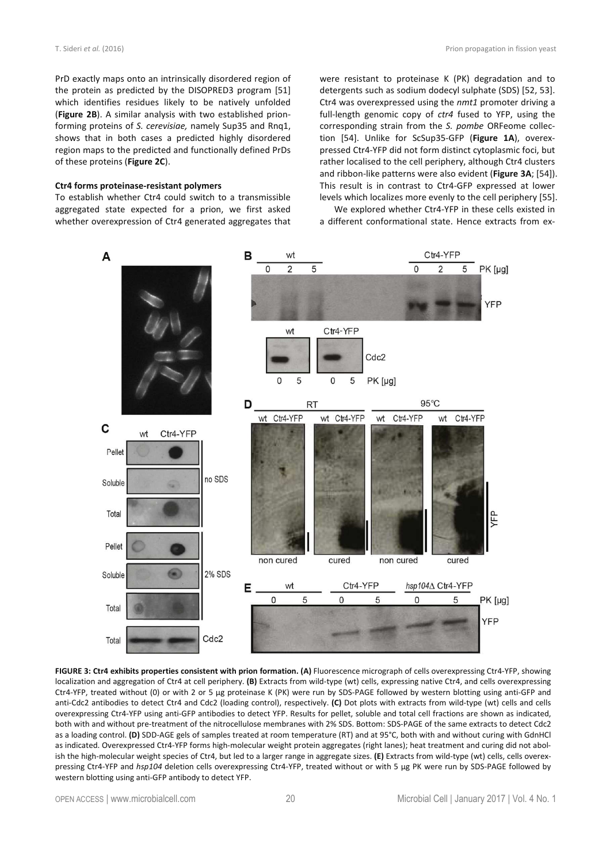PrD exactly maps onto an intrinsically disordered region of the protein as predicted by the DISOPRED3 program [51] which identifies residues likely to be natively unfolded (**Figure 2B**). A similar analysis with two established prionforming proteins of *S. cerevisiae,* namely Sup35 and Rnq1, shows that in both cases a predicted highly disordered region maps to the predicted and functionally defined PrDs of these proteins (**Figure 2C**).

#### **Ctr4 forms proteinase-resistant polymers**

To establish whether Ctr4 could switch to a transmissible aggregated state expected for a prion, we first asked whether overexpression of Ctr4 generated aggregates that were resistant to proteinase K (PK) degradation and to detergents such as sodium dodecyl sulphate (SDS) [52, 53]. Ctr4 was overexpressed using the *nmt1* promoter driving a full-length genomic copy of *ctr4* fused to YFP, using the corresponding strain from the *S. pombe* ORFeome collection [54]. Unlike for ScSup35-GFP (**Figure 1A**), overexpressed Ctr4-YFP did not form distinct cytoplasmic foci, but rather localised to the cell periphery, although Ctr4 clusters and ribbon-like patterns were also evident (**Figure 3A**; [54]). This result is in contrast to Ctr4-GFP expressed at lower levels which localizes more evenly to the cell periphery [55].

We explored whether Ctr4-YFP in these cells existed in a different conformational state. Hence extracts from ex-



**FIGURE 3: Ctr4 exhibits properties consistent with prion formation. (A)** Fluorescence micrograph of cells overexpressing Ctr4-YFP, showing localization and aggregation of Ctr4 at cell periphery. **(B)** Extracts from wild-type (wt) cells, expressing native Ctr4, and cells overexpressing Ctr4-YFP, treated without (0) or with 2 or 5 µg proteinase K (PK) were run by SDS-PAGE followed by western blotting using anti-GFP and anti-Cdc2 antibodies to detect Ctr4 and Cdc2 (loading control), respectively. **(C)** Dot plots with extracts from wild-type (wt) cells and cells overexpressing Ctr4-YFP using anti-GFP antibodies to detect YFP. Results for pellet, soluble and total cell fractions are shown as indicated, both with and without pre-treatment of the nitrocellulose membranes with 2% SDS. Bottom: SDS-PAGE of the same extracts to detect Cdc2 as a loading control. **(D)** SDD-AGE gels of samples treated at room temperature (RT) and at 95°C, both with and without curing with GdnHCl as indicated. Overexpressed Ctr4-YFP forms high-molecular weight protein aggregates (right lanes); heat treatment and curing did not abolish the high-molecular weight species of Ctr4, but led to a larger range in aggregate sizes. **(E)** Extracts from wild-type (wt) cells, cells overexpressing Ctr4-YFP and *hsp104* deletion cells overexpressing Ctr4-YFP, treated without or with 5 µg PK were run by SDS-PAGE followed by western blotting using anti-GFP antibody to detect YFP.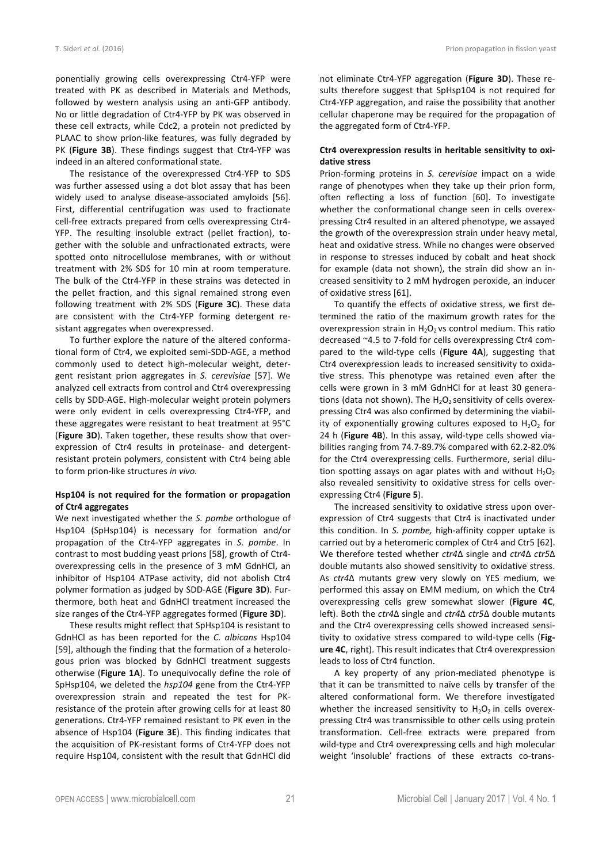ponentially growing cells overexpressing Ctr4-YFP were treated with PK as described in Materials and Methods, followed by western analysis using an anti-GFP antibody. No or little degradation of Ctr4-YFP by PK was observed in these cell extracts, while Cdc2, a protein not predicted by PLAAC to show prion-like features, was fully degraded by PK (**Figure 3B**). These findings suggest that Ctr4-YFP was indeed in an altered conformational state.

The resistance of the overexpressed Ctr4-YFP to SDS was further assessed using a dot blot assay that has been widely used to analyse disease-associated amyloids [56]. First, differential centrifugation was used to fractionate cell-free extracts prepared from cells overexpressing Ctr4- YFP. The resulting insoluble extract (pellet fraction), together with the soluble and unfractionated extracts, were spotted onto nitrocellulose membranes, with or without treatment with 2% SDS for 10 min at room temperature. The bulk of the Ctr4-YFP in these strains was detected in the pellet fraction, and this signal remained strong even following treatment with 2% SDS (**Figure 3C**). These data are consistent with the Ctr4-YFP forming detergent resistant aggregates when overexpressed.

To further explore the nature of the altered conformational form of Ctr4, we exploited semi-SDD-AGE, a method commonly used to detect high-molecular weight, detergent resistant prion aggregates in *S. cerevisiae* [57]. We analyzed cell extracts from control and Ctr4 overexpressing cells by SDD-AGE. High-molecular weight protein polymers were only evident in cells overexpressing Ctr4-YFP, and these aggregates were resistant to heat treatment at 95°C (**Figure 3D**). Taken together, these results show that overexpression of Ctr4 results in proteinase- and detergentresistant protein polymers, consistent with Ctr4 being able to form prion-like structures *in vivo.* 

#### **Hsp104 is not required for the formation or propagation of Ctr4 aggregates**

We next investigated whether the *S. pombe* orthologue of Hsp104 (SpHsp104) is necessary for formation and/or propagation of the Ctr4-YFP aggregates in *S. pombe*. In contrast to most budding yeast prions [58], growth of Ctr4 overexpressing cells in the presence of 3 mM GdnHCl, an inhibitor of Hsp104 ATPase activity, did not abolish Ctr4 polymer formation as judged by SDD-AGE (**Figure 3D**). Furthermore, both heat and GdnHCl treatment increased the size ranges of the Ctr4-YFP aggregates formed (**Figure 3D**).

These results might reflect that SpHsp104 is resistant to GdnHCl as has been reported for the *C. albicans* Hsp104 [59], although the finding that the formation of a heterologous prion was blocked by GdnHCl treatment suggests otherwise (**Figure 1A**). To unequivocally define the role of SpHsp104, we deleted the *hsp104* gene from the Ctr4-YFP overexpression strain and repeated the test for PKresistance of the protein after growing cells for at least 80 generations. Ctr4-YFP remained resistant to PK even in the absence of Hsp104 (**Figure 3E**). This finding indicates that the acquisition of PK-resistant forms of Ctr4-YFP does not require Hsp104, consistent with the result that GdnHCl did not eliminate Ctr4-YFP aggregation (**Figure 3D**). These results therefore suggest that SpHsp104 is not required for Ctr4-YFP aggregation, and raise the possibility that another cellular chaperone may be required for the propagation of the aggregated form of Ctr4-YFP.

#### **Ctr4 overexpression results in heritable sensitivity to oxidative stress**

Prion-forming proteins in *S. cerevisiae* impact on a wide range of phenotypes when they take up their prion form, often reflecting a loss of function [60]. To investigate whether the conformational change seen in cells overexpressing Ctr4 resulted in an altered phenotype, we assayed the growth of the overexpression strain under heavy metal, heat and oxidative stress. While no changes were observed in response to stresses induced by cobalt and heat shock for example (data not shown), the strain did show an increased sensitivity to 2 mM hydrogen peroxide, an inducer of oxidative stress [61].

To quantify the effects of oxidative stress, we first determined the ratio of the maximum growth rates for the overexpression strain in  $H_2O_2$  vs control medium. This ratio decreased ~4.5 to 7-fold for cells overexpressing Ctr4 compared to the wild-type cells (**Figure 4A**), suggesting that Ctr4 overexpression leads to increased sensitivity to oxidative stress. This phenotype was retained even after the cells were grown in 3 mM GdnHCl for at least 30 generations (data not shown). The  $H_2O_2$  sensitivity of cells overexpressing Ctr4 was also confirmed by determining the viability of exponentially growing cultures exposed to  $H_2O_2$  for 24 h (**Figure 4B**). In this assay, wild-type cells showed viabilities ranging from 74.7-89.7% compared with 62.2-82.0% for the Ctr4 overexpressing cells. Furthermore, serial dilution spotting assays on agar plates with and without  $H_2O_2$ also revealed sensitivity to oxidative stress for cells overexpressing Ctr4 (**Figure 5**).

The increased sensitivity to oxidative stress upon overexpression of Ctr4 suggests that Ctr4 is inactivated under this condition. In *S. pombe,* high-affinity copper uptake is carried out by a heteromeric complex of Ctr4 and Ctr5 [62]. We therefore tested whether *ctr4*Δ single and *ctr4*Δ *ctr5*Δ double mutants also showed sensitivity to oxidative stress. As *ctr4*Δ mutants grew very slowly on YES medium, we performed this assay on EMM medium, on which the Ctr4 overexpressing cells grew somewhat slower (**Figure 4C**, left). Both the *ctr4*Δ single and *ctr4*Δ *ctr5*Δ double mutants and the Ctr4 overexpressing cells showed increased sensitivity to oxidative stress compared to wild-type cells (**Figure 4C**, right). This result indicates that Ctr4 overexpression leads to loss of Ctr4 function.

A key property of any prion-mediated phenotype is that it can be transmitted to naïve cells by transfer of the altered conformational form. We therefore investigated whether the increased sensitivity to  $H_2O_2$  in cells overexpressing Ctr4 was transmissible to other cells using protein transformation. Cell-free extracts were prepared from wild-type and Ctr4 overexpressing cells and high molecular weight 'insoluble' fractions of these extracts co-trans-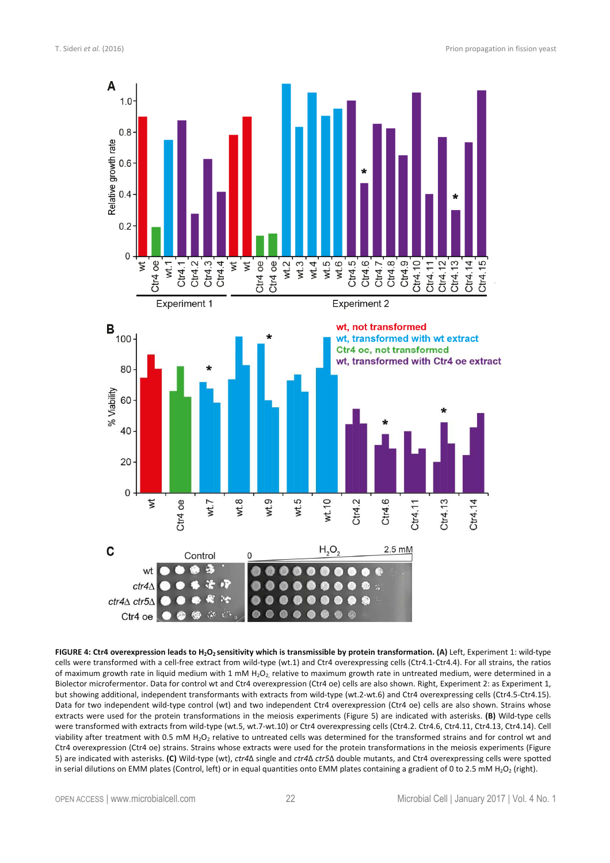

**FIGURE 4: Ctr4 overexpression leads to H2O2 sensitivity which is transmissible by protein transformation. (A)** Left, Experiment 1: wild-type cells were transformed with a cell-free extract from wild-type (wt.1) and Ctr4 overexpressing cells (Ctr4.1-Ctr4.4). For all strains, the ratios of maximum growth rate in liquid medium with 1 mM H<sub>2</sub>O<sub>2</sub>, relative to maximum growth rate in untreated medium, were determined in a Biolector microfermentor. Data for control wt and Ctr4 overexpression (Ctr4 oe) cells are also shown. Right, Experiment 2: as Experiment 1, but showing additional, independent transformants with extracts from wild-type (wt.2-wt.6) and Ctr4 overexpressing cells (Ctr4.5-Ctr4.15). Data for two independent wild-type control (wt) and two independent Ctr4 overexpression (Ctr4 oe) cells are also shown. Strains whose extracts were used for the protein transformations in the meiosis experiments (Figure 5) are indicated with asterisks. **(B)** Wild-type cells were transformed with extracts from wild-type (wt.5, wt.7-wt.10) or Ctr4 overexpressing cells (Ctr4.2. Ctr4.6, Ctr4.11, Ctr4.13, Ctr4.14). Cell viability after treatment with 0.5 mM H<sub>2</sub>O<sub>2</sub> relative to untreated cells was determined for the transformed strains and for control wt and Ctr4 overexpression (Ctr4 oe) strains. Strains whose extracts were used for the protein transformations in the meiosis experiments (Figure 5) are indicated with asterisks. **(C)** Wild-type (wt), *ctr4*Δ single and *ctr4*Δ *ctr5*Δ double mutants, and Ctr4 overexpressing cells were spotted in serial dilutions on EMM plates (Control, left) or in equal quantities onto EMM plates containing a gradient of 0 to 2.5 mM H<sub>2</sub>O<sub>2</sub> (right).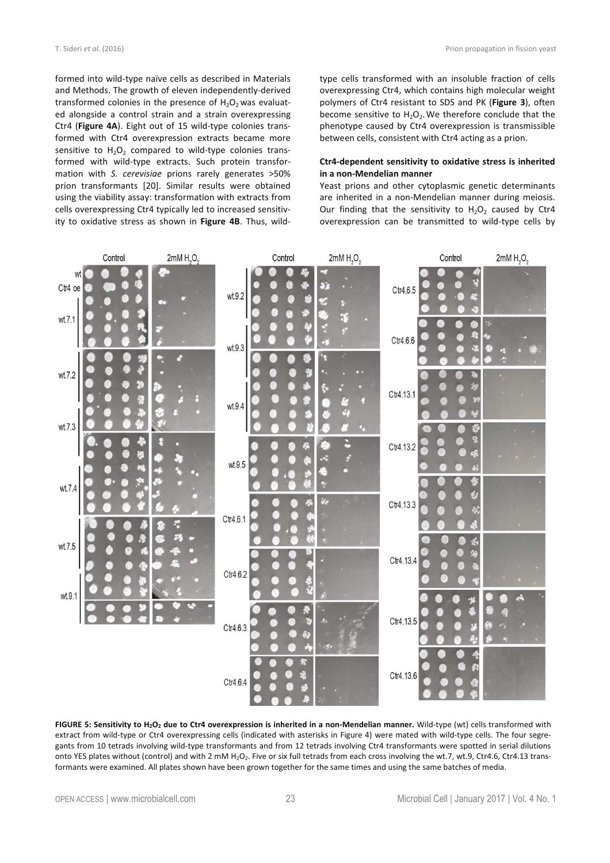formed into wild-type naïve cells as described in Materials and Methods. The growth of eleven independently-derived transformed colonies in the presence of  $H_2O_2$  was evaluated alongside a control strain and a strain overexpressing Ctr4 (**Figure 4A**). Eight out of 15 wild-type colonies transformed with Ctr4 overexpression extracts became more sensitive to  $H_2O_2$  compared to wild-type colonies transformed with wild-type extracts. Such protein transformation with *S. cerevisiae* prions rarely generates >50% prion transformants [20]. Similar results were obtained using the viability assay: transformation with extracts from cells overexpressing Ctr4 typically led to increased sensitivity to oxidative stress as shown in **Figure 4B**. Thus, wildtype cells transformed with an insoluble fraction of cells overexpressing Ctr4, which contains high molecular weight polymers of Ctr4 resistant to SDS and PK (**Figure 3**), often become sensitive to  $H_2O_2$ . We therefore conclude that the phenotype caused by Ctr4 overexpression is transmissible between cells, consistent with Ctr4 acting as a prion.

#### **Ctr4-dependent sensitivity to oxidative stress is inherited in a non-Mendelian manner**

Yeast prions and other cytoplasmic genetic determinants are inherited in a non-Mendelian manner during meiosis. Our finding that the sensitivity to  $H_2O_2$  caused by Ctr4 overexpression can be transmitted to wild-type cells by



**FIGURE 5: Sensitivity to H2O2 due to Ctr4 overexpression is inherited in a non-Mendelian manner.** Wild-type (wt) cells transformed with extract from wild-type or Ctr4 overexpressing cells (indicated with asterisks in Figure 4) were mated with wild-type cells. The four segregants from 10 tetrads involving wild-type transformants and from 12 tetrads involving Ctr4 transformants were spotted in serial dilutions onto YES plates without (control) and with 2 mM H<sub>2</sub>O<sub>2</sub>. Five or six full tetrads from each cross involving the wt.7, wt.9, Ctr4.6, Ctr4.13 transformants were examined. All plates shown have been grown together for the same times and using the same batches of media.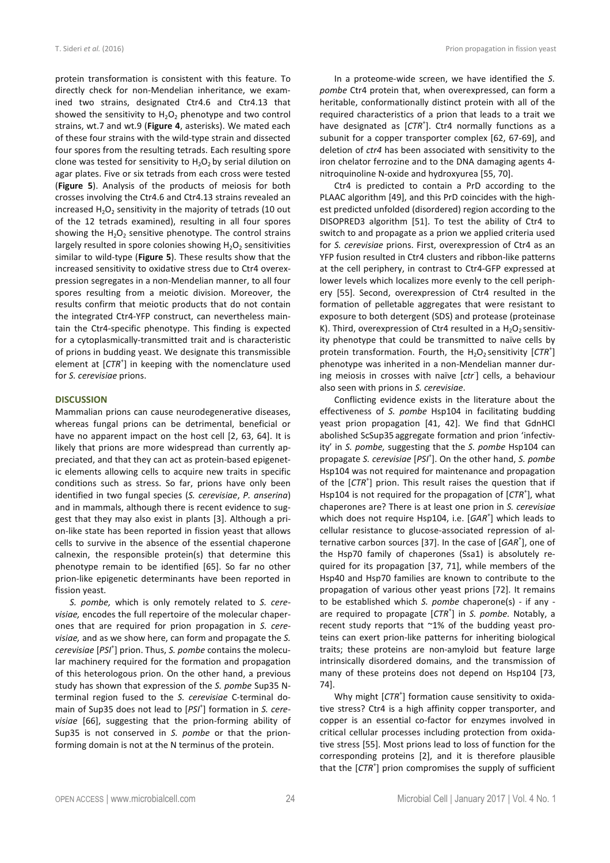protein transformation is consistent with this feature. To directly check for non-Mendelian inheritance, we examined two strains, designated Ctr4.6 and Ctr4.13 that showed the sensitivity to  $H_2O_2$  phenotype and two control strains, wt.7 and wt.9 (**Figure 4**, asterisks). We mated each of these four strains with the wild-type strain and dissected four spores from the resulting tetrads. Each resulting spore clone was tested for sensitivity to  $H_2O_2$  by serial dilution on agar plates. Five or six tetrads from each cross were tested (**Figure 5**). Analysis of the products of meiosis for both crosses involving the Ctr4.6 and Ctr4.13 strains revealed an increased  $H_2O_2$  sensitivity in the majority of tetrads (10 out of the 12 tetrads examined), resulting in all four spores showing the  $H_2O_2$  sensitive phenotype. The control strains largely resulted in spore colonies showing  $H_2O_2$  sensitivities similar to wild-type (**Figure 5**). These results show that the increased sensitivity to oxidative stress due to Ctr4 overexpression segregates in a non-Mendelian manner, to all four spores resulting from a meiotic division. Moreover, the results confirm that meiotic products that do not contain the integrated Ctr4-YFP construct, can nevertheless maintain the Ctr4-specific phenotype. This finding is expected for a cytoplasmically-transmitted trait and is characteristic of prions in budding yeast. We designate this transmissible element at [CTR<sup>+</sup>] in keeping with the nomenclature used for *S. cerevisiae* prions.

#### **DISCUSSION**

Mammalian prions can cause neurodegenerative diseases, whereas fungal prions can be detrimental, beneficial or have no apparent impact on the host cell [2, 63, 64]. It is likely that prions are more widespread than currently appreciated, and that they can act as protein-based epigenetic elements allowing cells to acquire new traits in specific conditions such as stress. So far, prions have only been identified in two fungal species (*S. cerevisiae*, *P. anserina*) and in mammals, although there is recent evidence to suggest that they may also exist in plants [3]. Although a prion-like state has been reported in fission yeast that allows cells to survive in the absence of the essential chaperone calnexin, the responsible protein(s) that determine this phenotype remain to be identified [65]. So far no other prion-like epigenetic determinants have been reported in fission yeast.

*S. pombe,* which is only remotely related to *S. cerevisiae,* encodes the full repertoire of the molecular chaperones that are required for prion propagation in *S. cerevisiae,* and as we show here, can form and propagate the *S. cerevisiae* [*PSI*<sup>+</sup> ] prion. Thus, *S. pombe* contains the molecular machinery required for the formation and propagation of this heterologous prion. On the other hand, a previous study has shown that expression of the *S. pombe* Sup35 Nterminal region fused to the *S. cerevisiae* C-terminal domain of Sup35 does not lead to [PSI<sup>+</sup>] formation in S. cere*visiae* [66], suggesting that the prion-forming ability of Sup35 is not conserved in *S. pombe* or that the prionforming domain is not at the N terminus of the protein.

In a proteome-wide screen, we have identified the *S. pombe* Ctr4 protein that, when overexpressed, can form a heritable, conformationally distinct protein with all of the required characteristics of a prion that leads to a trait we have designated as [CTR<sup>+</sup>]. Ctr4 normally functions as a subunit for a copper transporter complex [62, 67-69], and deletion of *ctr4* has been associated with sensitivity to the iron chelator ferrozine and to the DNA damaging agents 4 nitroquinoline N-oxide and hydroxyurea [55, 70].

Ctr4 is predicted to contain a PrD according to the PLAAC algorithm [49], and this PrD coincides with the highest predicted unfolded (disordered) region according to the DISOPRED3 algorithm [51]. To test the ability of Ctr4 to switch to and propagate as a prion we applied criteria used for *S. cerevisiae* prions. First, overexpression of Ctr4 as an YFP fusion resulted in Ctr4 clusters and ribbon-like patterns at the cell periphery, in contrast to Ctr4-GFP expressed at lower levels which localizes more evenly to the cell periphery [55]. Second, overexpression of Ctr4 resulted in the formation of pelletable aggregates that were resistant to exposure to both detergent (SDS) and protease (proteinase K). Third, overexpression of Ctr4 resulted in a  $H_2O_2$  sensitivity phenotype that could be transmitted to naïve cells by protein transformation. Fourth, the  $H_2O_2$  sensitivity  $[CTR^+]$ phenotype was inherited in a non-Mendelian manner during meiosis in crosses with naïve [*ctr*- ] cells, a behaviour also seen with prions in *S. cerevisiae*.

Conflicting evidence exists in the literature about the effectiveness of *S. pombe* Hsp104 in facilitating budding yeast prion propagation [41, 42]. We find that GdnHCl abolished ScSup35 aggregate formation and prion 'infectivity' in *S. pombe,* suggesting that the *S. pombe* Hsp104 can propagate *S. cerevisiae* [*PSI*<sup>+</sup> ]. On the other hand, *S. pombe*  Hsp104 was not required for maintenance and propagation of the [CTR<sup>+</sup>] prion. This result raises the question that if Hsp104 is not required for the propagation of [CTR<sup>+</sup>], what chaperones are? There is at least one prion in *S. cerevisiae* which does not require Hsp104, i.e. [*GAR<sup>+</sup>* ] which leads to cellular resistance to glucose-associated repression of alternative carbon sources [37]. In the case of [GAR<sup>+</sup>], one of the Hsp70 family of chaperones (Ssa1) is absolutely required for its propagation [37, 71], while members of the Hsp40 and Hsp70 families are known to contribute to the propagation of various other yeast prions [72]. It remains to be established which *S. pombe* chaperone(s) - if any are required to propagate [*CTR*<sup>+</sup> ] in *S. pombe.* Notably, a recent study reports that ~1% of the budding yeast proteins can exert prion-like patterns for inheriting biological traits; these proteins are non-amyloid but feature large intrinsically disordered domains, and the transmission of many of these proteins does not depend on Hsp104 [73, 74].

Why might [CTR<sup>+</sup>] formation cause sensitivity to oxidative stress? Ctr4 is a high affinity copper transporter, and copper is an essential co-factor for enzymes involved in critical cellular processes including protection from oxidative stress [55]. Most prions lead to loss of function for the corresponding proteins [2], and it is therefore plausible that the [CTR<sup>+</sup>] prion compromises the supply of sufficient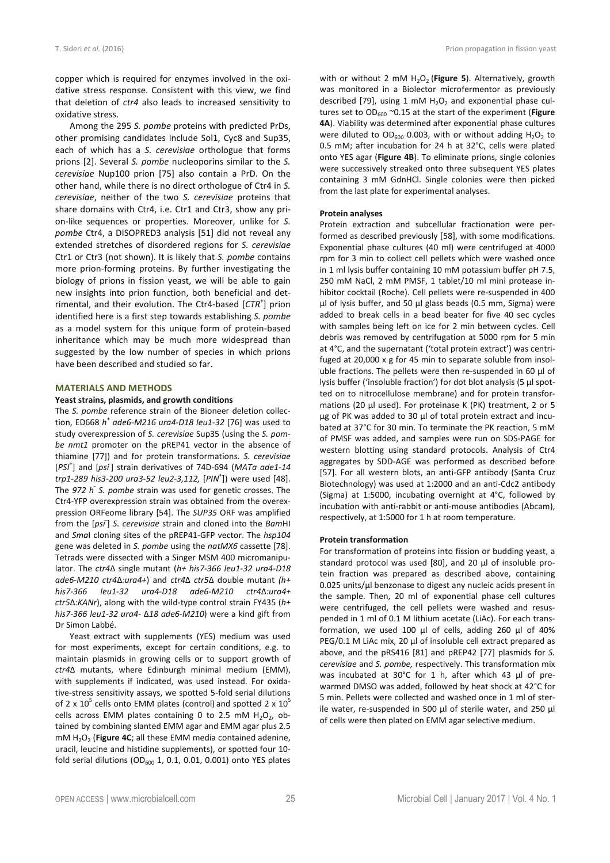copper which is required for enzymes involved in the oxidative stress response. Consistent with this view, we find that deletion of *ctr4* also leads to increased sensitivity to oxidative stress.

Among the 295 *S. pombe* proteins with predicted PrDs, other promising candidates include Sol1, Cyc8 and Sup35, each of which has a *S. cerevisiae* orthologue that forms prions [2]. Several *S. pombe* nucleoporins similar to the *S. cerevisiae* Nup100 prion [75] also contain a PrD. On the other hand, while there is no direct orthologue of Ctr4 in *S. cerevisiae*, neither of the two *S. cerevisiae* proteins that share domains with Ctr4, i.e. Ctr1 and Ctr3, show any prion-like sequences or properties. Moreover, unlike for *S. pombe* Ctr4, a DISOPRED3 analysis [51] did not reveal any extended stretches of disordered regions for *S. cerevisiae*  Ctr1 or Ctr3 (not shown). It is likely that *S. pombe* contains more prion-forming proteins. By further investigating the biology of prions in fission yeast, we will be able to gain new insights into prion function, both beneficial and detrimental, and their evolution. The Ctr4-based [CTR<sup>+</sup>] prion identified here is a first step towards establishing *S. pombe*  as a model system for this unique form of protein-based inheritance which may be much more widespread than suggested by the low number of species in which prions have been described and studied so far.

#### **MATERIALS AND METHODS**

#### **Yeast strains, plasmids, and growth conditions**

The *S. pombe* reference strain of the Bioneer deletion collection, ED668 *h + ade6-M216 ura4-D18 leu1-32* [76] was used to study overexpression of *S. cerevisiae* Sup35 (using the *S. pombe nmt1* promoter on the pREP41 vector in the absence of thiamine [77]) and for protein transformations. *S. cerevisiae* [PSI<sup>+</sup>] and [psi<sup>-</sup>] strain derivatives of 74D-694 (MATa ade1-14 *trp1-289 his3-200 ura3-52 leu2-3,112,* [*PIN<sup>+</sup>* ]) were used [48]. The 972 h<sup>-</sup> S. pombe strain was used for genetic crosses. The Ctr4-YFP overexpression strain was obtained from the overexpression ORFeome library [54]. The *SUP35* ORF was amplified from the [*psi*- ] *S. cerevisiae* strain and cloned into the *Bam*HI and *Sma*I cloning sites of the pREP41-GFP vector. The *hsp104*  gene was deleted in *S. pombe* using the *natMX6* cassette [78]. Tetrads were dissected with a Singer MSM 400 micromanipulator. The *ctr4*Δ single mutant (*h+ his7-366 leu1-32 ura4-D18 ade6-M210 ctr4*Δ*:ura4+*) and *ctr4*Δ *ctr5*Δ double mutant *(h+ his7-366 leu1-32 ura4-D18 ade6-M210 ctr4*Δ*:ura4+ ctr5*Δ*:KANr*), along with the wild-type control strain FY435 (*h+ his7-366 leu1-32 ura4-* Δ*18 ade6-M210*) were a kind gift from Dr Simon Labbé.

Yeast extract with supplements (YES) medium was used for most experiments, except for certain conditions, e.g. to maintain plasmids in growing cells or to support growth of *ctr4*Δ mutants, where Edinburgh minimal medium (EMM), with supplements if indicated, was used instead. For oxidative-stress sensitivity assays, we spotted 5-fold serial dilutions of 2 x  $10^5$  cells onto EMM plates (control) and spotted 2 x  $10^5$ cells across EMM plates containing 0 to 2.5 mM  $H_2O_2$ , obtained by combining slanted EMM agar and EMM agar plus 2.5 mM H<sub>2</sub>O<sub>2</sub> (Figure 4C; all these EMM media contained adenine, uracil, leucine and histidine supplements), or spotted four 10 fold serial dilutions (OD $_{600}$  1, 0.1, 0.01, 0.001) onto YES plates

with or without 2 mM H<sub>2</sub>O<sub>2</sub> (Figure 5). Alternatively, growth was monitored in a Biolector microfermentor as previously described [79], using 1 mM  $H_2O_2$  and exponential phase cultures set to OD<sub>600</sub> ~0.15 at the start of the experiment (Figure **4A**). Viability was determined after exponential phase cultures were diluted to  $OD_{600}$  0.003, with or without adding  $H_2O_2$  to 0.5 mM; after incubation for 24 h at 32°C, cells were plated onto YES agar (**Figure 4B**). To eliminate prions, single colonies were successively streaked onto three subsequent YES plates containing 3 mM GdnHCl. Single colonies were then picked from the last plate for experimental analyses.

#### **Protein analyses**

Protein extraction and subcellular fractionation were performed as described previously [58], with some modifications. Exponential phase cultures (40 ml) were centrifuged at 4000 rpm for 3 min to collect cell pellets which were washed once in 1 ml lysis buffer containing 10 mM potassium buffer pH 7.5, 250 mM NaCl, 2 mM PMSF, 1 tablet/10 ml mini protease inhibitor cocktail (Roche). Cell pellets were re-suspended in 400 µl of lysis buffer, and 50 µl glass beads (0.5 mm, Sigma) were added to break cells in a bead beater for five 40 sec cycles with samples being left on ice for 2 min between cycles. Cell debris was removed by centrifugation at 5000 rpm for 5 min at 4°C, and the supernatant ('total protein extract') was centrifuged at 20,000 x g for 45 min to separate soluble from insoluble fractions. The pellets were then re-suspended in 60 µl of lysis buffer ('insoluble fraction') for dot blot analysis (5 µl spotted on to nitrocellulose membrane) and for protein transformations (20 µl used). For proteinase K (PK) treatment, 2 or 5 µg of PK was added to 30 µl of total protein extract and incubated at 37°C for 30 min. To terminate the PK reaction, 5 mM of PMSF was added, and samples were run on SDS-PAGE for western blotting using standard protocols. Analysis of Ctr4 aggregates by SDD-AGE was performed as described before [57]. For all western blots, an anti-GFP antibody (Santa Cruz Biotechnology) was used at 1:2000 and an anti-Cdc2 antibody (Sigma) at 1:5000, incubating overnight at 4°C, followed by incubation with anti-rabbit or anti-mouse antibodies (Abcam), respectively, at 1:5000 for 1 h at room temperature.

#### **Protein transformation**

For transformation of proteins into fission or budding yeast, a standard protocol was used [80], and 20 µl of insoluble protein fraction was prepared as described above, containing 0.025 units/µl benzonase to digest any nucleic acids present in the sample. Then, 20 ml of exponential phase cell cultures were centrifuged, the cell pellets were washed and resuspended in 1 ml of 0.1 M lithium acetate (LiAc). For each transformation, we used 100 µl of cells, adding 260 µl of 40% PEG/0.1 M LiAc mix, 20 µl of insoluble cell extract prepared as above, and the pRS416 [81] and pREP42 [77] plasmids for *S. cerevisiae* and *S. pombe,* respectively. This transformation mix was incubated at 30°C for 1 h, after which 43 µl of prewarmed DMSO was added, followed by heat shock at 42°C for 5 min. Pellets were collected and washed once in 1 ml of sterile water, re-suspended in 500 µl of sterile water, and 250 µl of cells were then plated on EMM agar selective medium.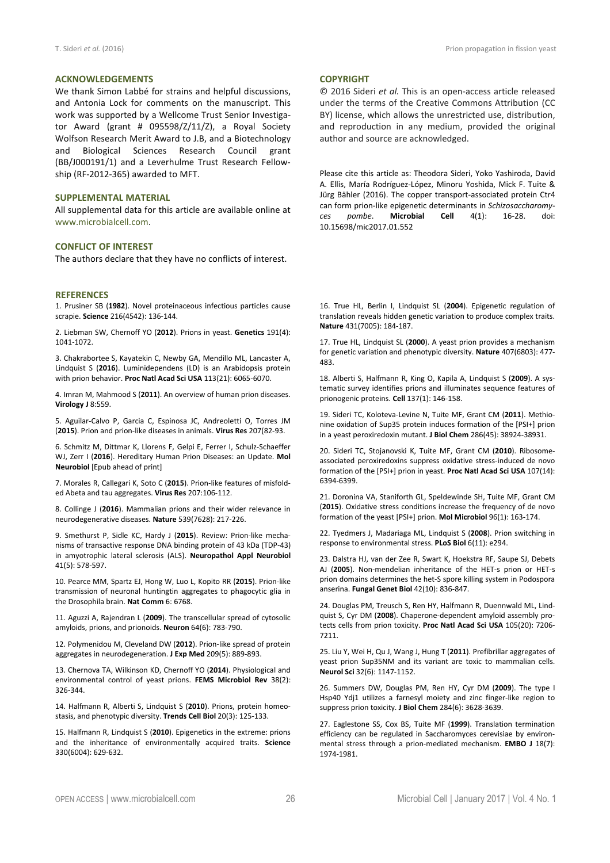We thank Simon Labbé for strains and helpful discussions, and Antonia Lock for comments on the manuscript. This work was supported by a Wellcome Trust Senior Investigator Award (grant # 095598/Z/11/Z), a Royal Society Wolfson Research Merit Award to J.B, and a Biotechnology and Biological Sciences Research Council grant (BB/J000191/1) and a Leverhulme Trust Research Fellowship (RF-2012-365) awarded to MFT.

#### **SUPPLEMENTAL MATERIAL**

All supplemental data for this article are available online at www.microbialcell.com.

#### **CONFLICT OF INTEREST**

The authors declare that they have no conflicts of interest.

#### **REFERENCES**

1. Prusiner SB (**1982**). Novel proteinaceous infectious particles cause scrapie. **Science** 216(4542): 136-144.

2. Liebman SW, Chernoff YO (**2012**). Prions in yeast. **Genetics** 191(4): 1041-1072.

3. Chakrabortee S, Kayatekin C, Newby GA, Mendillo ML, Lancaster A, Lindquist S (**2016**). Luminidependens (LD) is an Arabidopsis protein with prion behavior. **Proc Natl Acad Sci USA** 113(21): 6065-6070.

4. Imran M, Mahmood S (**2011**). An overview of human prion diseases. **Virology J** 8:559.

5. Aguilar-Calvo P, Garcia C, Espinosa JC, Andreoletti O, Torres JM (**2015**). Prion and prion-like diseases in animals. **Virus Res** 207(82-93.

6. Schmitz M, Dittmar K, Llorens F, Gelpi E, Ferrer I, Schulz-Schaeffer WJ, Zerr I (**2016**). Hereditary Human Prion Diseases: an Update. **Mol Neurobiol** [Epub ahead of print]

7. Morales R, Callegari K, Soto C (**2015**). Prion-like features of misfolded Abeta and tau aggregates. **Virus Res** 207:106-112.

8. Collinge J (**2016**). Mammalian prions and their wider relevance in neurodegenerative diseases. **Nature** 539(7628): 217-226.

9. Smethurst P, Sidle KC, Hardy J (**2015**). Review: Prion-like mechanisms of transactive response DNA binding protein of 43 kDa (TDP-43) in amyotrophic lateral sclerosis (ALS). **Neuropathol Appl Neurobiol** 41(5): 578-597.

10. Pearce MM, Spartz EJ, Hong W, Luo L, Kopito RR (**2015**). Prion-like transmission of neuronal huntingtin aggregates to phagocytic glia in the Drosophila brain. **Nat Comm** 6: 6768.

11. Aguzzi A, Rajendran L (**2009**). The transcellular spread of cytosolic amyloids, prions, and prionoids. **Neuron** 64(6): 783-790.

12. Polymenidou M, Cleveland DW (**2012**). Prion-like spread of protein aggregates in neurodegeneration. **J Exp Med** 209(5): 889-893.

13. Chernova TA, Wilkinson KD, Chernoff YO (**2014**). Physiological and environmental control of yeast prions. **FEMS Microbiol Rev** 38(2): 326-344.

14. Halfmann R, Alberti S, Lindquist S (**2010**). Prions, protein homeostasis, and phenotypic diversity. **Trends Cell Biol** 20(3): 125-133.

15. Halfmann R, Lindquist S (**2010**). Epigenetics in the extreme: prions and the inheritance of environmentally acquired traits. **Science** 330(6004): 629-632.

#### **COPYRIGHT**

© 2016 Sideri *et al.* This is an open-access article released under the terms of the Creative Commons Attribution (CC BY) license, which allows the unrestricted use, distribution, and reproduction in any medium, provided the original author and source are acknowledged.

Please cite this article as: Theodora Sideri, Yoko Yashiroda, David A. Ellis, María Rodríguez-López, Minoru Yoshida, Mick F. Tuite & Jürg Bähler (2016). The copper transport-associated protein Ctr4 can form prion-like epigenetic determinants in *Schizosaccharomyces pombe*. **Microbial Cell** 4(1): 16-28. doi: 10.15698/mic2017.01.552

16. True HL, Berlin I, Lindquist SL (**2004**). Epigenetic regulation of translation reveals hidden genetic variation to produce complex traits. **Nature** 431(7005): 184-187.

17. True HL, Lindquist SL (**2000**). A yeast prion provides a mechanism for genetic variation and phenotypic diversity. **Nature** 407(6803): 477- 483.

18. Alberti S, Halfmann R, King O, Kapila A, Lindquist S (**2009**). A systematic survey identifies prions and illuminates sequence features of prionogenic proteins. **Cell** 137(1): 146-158.

19. Sideri TC, Koloteva-Levine N, Tuite MF, Grant CM (**2011**). Methionine oxidation of Sup35 protein induces formation of the [PSI+] prion in a yeast peroxiredoxin mutant. **J Biol Chem** 286(45): 38924-38931.

20. Sideri TC, Stojanovski K, Tuite MF, Grant CM (**2010**). Ribosomeassociated peroxiredoxins suppress oxidative stress-induced de novo formation of the [PSI+] prion in yeast. **Proc Natl Acad Sci USA** 107(14): 6394-6399.

21. Doronina VA, Staniforth GL, Speldewinde SH, Tuite MF, Grant CM (**2015**). Oxidative stress conditions increase the frequency of de novo formation of the yeast [PSI+] prion. **Mol Microbiol** 96(1): 163-174.

22. Tyedmers J, Madariaga ML, Lindquist S (**2008**). Prion switching in response to environmental stress. **PLoS Biol** 6(11): e294.

23. Dalstra HJ, van der Zee R, Swart K, Hoekstra RF, Saupe SJ, Debets AJ (**2005**). Non-mendelian inheritance of the HET-s prion or HET-s prion domains determines the het-S spore killing system in Podospora anserina. **Fungal Genet Biol** 42(10): 836-847.

24. Douglas PM, Treusch S, Ren HY, Halfmann R, Duennwald ML, Lindquist S, Cyr DM (**2008**). Chaperone-dependent amyloid assembly protects cells from prion toxicity. **Proc Natl Acad Sci USA** 105(20): 7206- 7211.

25. Liu Y, Wei H, Qu J, Wang J, Hung T (**2011**). Prefibrillar aggregates of yeast prion Sup35NM and its variant are toxic to mammalian cells. **Neurol Sci** 32(6): 1147-1152.

26. Summers DW, Douglas PM, Ren HY, Cyr DM (**2009**). The type I Hsp40 Ydj1 utilizes a farnesyl moiety and zinc finger-like region to suppress prion toxicity. **J Biol Chem** 284(6): 3628-3639.

27. Eaglestone SS, Cox BS, Tuite MF (**1999**). Translation termination efficiency can be regulated in Saccharomyces cerevisiae by environmental stress through a prion-mediated mechanism. **EMBO J** 18(7): 1974-1981.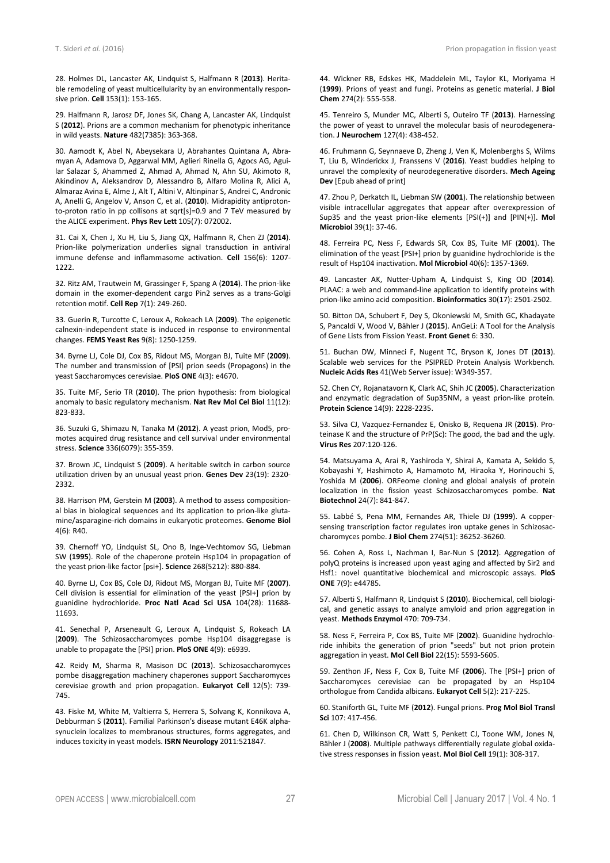28. Holmes DL, Lancaster AK, Lindquist S, Halfmann R (**2013**). Heritable remodeling of yeast multicellularity by an environmentally responsive prion. **Cell** 153(1): 153-165.

29. Halfmann R, Jarosz DF, Jones SK, Chang A, Lancaster AK, Lindquist S (**2012**). Prions are a common mechanism for phenotypic inheritance in wild yeasts. **Nature** 482(7385): 363-368.

30. Aamodt K, Abel N, Abeysekara U, Abrahantes Quintana A, Abramyan A, Adamova D, Aggarwal MM, Aglieri Rinella G, Agocs AG, Aguilar Salazar S, Ahammed Z, Ahmad A, Ahmad N, Ahn SU, Akimoto R, Akindinov A, Aleksandrov D, Alessandro B, Alfaro Molina R, Alici A, Almaraz Avina E, Alme J, Alt T, Altini V, Altinpinar S, Andrei C, Andronic A, Anelli G, Angelov V, Anson C, et al. (**2010**). Midrapidity antiprotonto-proton ratio in pp collisons at sqrt[s]=0.9 and 7 TeV measured by the ALICE experiment. **Phys Rev Lett** 105(7): 072002.

31. Cai X, Chen J, Xu H, Liu S, Jiang QX, Halfmann R, Chen ZJ (**2014**). Prion-like polymerization underlies signal transduction in antiviral immune defense and inflammasome activation. **Cell** 156(6): 1207- 1222.

32. Ritz AM, Trautwein M, Grassinger F, Spang A (**2014**). The prion-like domain in the exomer-dependent cargo Pin2 serves as a trans-Golgi retention motif. **Cell Rep** 7(1): 249-260.

33. Guerin R, Turcotte C, Leroux A, Rokeach LA (**2009**). The epigenetic calnexin-independent state is induced in response to environmental changes. **FEMS Yeast Res** 9(8): 1250-1259.

34. Byrne LJ, Cole DJ, Cox BS, Ridout MS, Morgan BJ, Tuite MF (**2009**). The number and transmission of [PSI] prion seeds (Propagons) in the yeast Saccharomyces cerevisiae. **PloS ONE** 4(3): e4670.

35. Tuite MF, Serio TR (**2010**). The prion hypothesis: from biological anomaly to basic regulatory mechanism. **Nat Rev Mol Cel Biol** 11(12): 823-833.

36. Suzuki G, Shimazu N, Tanaka M (**2012**). A yeast prion, Mod5, promotes acquired drug resistance and cell survival under environmental stress. **Science** 336(6079): 355-359.

37. Brown JC, Lindquist S (**2009**). A heritable switch in carbon source utilization driven by an unusual yeast prion. **Genes Dev** 23(19): 2320- 2332.

38. Harrison PM, Gerstein M (**2003**). A method to assess compositional bias in biological sequences and its application to prion-like glutamine/asparagine-rich domains in eukaryotic proteomes. **Genome Biol** 4(6): R40.

39. Chernoff YO, Lindquist SL, Ono B, Inge-Vechtomov SG, Liebman SW (**1995**). Role of the chaperone protein Hsp104 in propagation of the yeast prion-like factor [psi+]. **Science** 268(5212): 880-884.

40. Byrne LJ, Cox BS, Cole DJ, Ridout MS, Morgan BJ, Tuite MF (**2007**). Cell division is essential for elimination of the yeast [PSI+] prion by guanidine hydrochloride. **Proc Natl Acad Sci USA** 104(28): 11688- 11693.

41. Senechal P, Arseneault G, Leroux A, Lindquist S, Rokeach LA (**2009**). The Schizosaccharomyces pombe Hsp104 disaggregase is unable to propagate the [PSI] prion. **PloS ONE** 4(9): e6939.

42. Reidy M, Sharma R, Masison DC (**2013**). Schizosaccharomyces pombe disaggregation machinery chaperones support Saccharomyces cerevisiae growth and prion propagation. **Eukaryot Cell** 12(5): 739- 745.

43. Fiske M, White M, Valtierra S, Herrera S, Solvang K, Konnikova A, Debburman S (**2011**). Familial Parkinson's disease mutant E46K alphasynuclein localizes to membranous structures, forms aggregates, and induces toxicity in yeast models. **ISRN Neurology** 2011:521847.

44. Wickner RB, Edskes HK, Maddelein ML, Taylor KL, Moriyama H (**1999**). Prions of yeast and fungi. Proteins as genetic material. **J Biol Chem** 274(2): 555-558.

45. Tenreiro S, Munder MC, Alberti S, Outeiro TF (**2013**). Harnessing the power of yeast to unravel the molecular basis of neurodegeneration. **J Neurochem** 127(4): 438-452.

46. Fruhmann G, Seynnaeve D, Zheng J, Ven K, Molenberghs S, Wilms T, Liu B, Winderickx J, Franssens V (**2016**). Yeast buddies helping to unravel the complexity of neurodegenerative disorders. **Mech Ageing Dev** [Epub ahead of print]

47. Zhou P, Derkatch IL, Liebman SW (**2001**). The relationship between visible intracellular aggregates that appear after overexpression of Sup35 and the yeast prion-like elements [PSI(+)] and [PIN(+)]. **Mol Microbiol** 39(1): 37-46.

48. Ferreira PC, Ness F, Edwards SR, Cox BS, Tuite MF (**2001**). The elimination of the yeast [PSI+] prion by guanidine hydrochloride is the result of Hsp104 inactivation. **Mol Microbiol** 40(6): 1357-1369.

49. Lancaster AK, Nutter-Upham A, Lindquist S, King OD (**2014**). PLAAC: a web and command-line application to identify proteins with prion-like amino acid composition. **Bioinformatics** 30(17): 2501-2502.

50. Bitton DA, Schubert F, Dey S, Okoniewski M, Smith GC, Khadayate S, Pancaldi V, Wood V, Bähler J (**2015**). AnGeLi: A Tool for the Analysis of Gene Lists from Fission Yeast. **Front Genet** 6: 330.

51. Buchan DW, Minneci F, Nugent TC, Bryson K, Jones DT (**2013**). Scalable web services for the PSIPRED Protein Analysis Workbench. **Nucleic Acids Res** 41(Web Server issue): W349-357.

52. Chen CY, Rojanatavorn K, Clark AC, Shih JC (**2005**). Characterization and enzymatic degradation of Sup35NM, a yeast prion-like protein. **Protein Science** 14(9): 2228-2235.

53. Silva CJ, Vazquez-Fernandez E, Onisko B, Requena JR (**2015**). Proteinase K and the structure of PrP(Sc): The good, the bad and the ugly. **Virus Res** 207:120-126.

54. Matsuyama A, Arai R, Yashiroda Y, Shirai A, Kamata A, Sekido S, Kobayashi Y, Hashimoto A, Hamamoto M, Hiraoka Y, Horinouchi S, Yoshida M (**2006**). ORFeome cloning and global analysis of protein localization in the fission yeast Schizosaccharomyces pombe. **Nat Biotechnol** 24(7): 841-847.

55. Labbé S, Pena MM, Fernandes AR, Thiele DJ (**1999**). A coppersensing transcription factor regulates iron uptake genes in Schizosaccharomyces pombe. **J Biol Chem** 274(51): 36252-36260.

56. Cohen A, Ross L, Nachman I, Bar-Nun S (**2012**). Aggregation of polyQ proteins is increased upon yeast aging and affected by Sir2 and Hsf1: novel quantitative biochemical and microscopic assays. **PloS ONE** 7(9): e44785.

57. Alberti S, Halfmann R, Lindquist S (**2010**). Biochemical, cell biological, and genetic assays to analyze amyloid and prion aggregation in yeast. **Methods Enzymol** 470: 709-734.

58. Ness F, Ferreira P, Cox BS, Tuite MF (**2002**). Guanidine hydrochloride inhibits the generation of prion "seeds" but not prion protein aggregation in yeast. **Mol Cell Biol** 22(15): 5593-5605.

59. Zenthon JF, Ness F, Cox B, Tuite MF (**2006**). The [PSI+] prion of Saccharomyces cerevisiae can be propagated by an Hsp104 orthologue from Candida albicans. **Eukaryot Cell** 5(2): 217-225.

60. Staniforth GL, Tuite MF (**2012**). Fungal prions. **Prog Mol Biol Transl Sci** 107: 417-456.

61. Chen D, Wilkinson CR, Watt S, Penkett CJ, Toone WM, Jones N, Bähler J (**2008**). Multiple pathways differentially regulate global oxidative stress responses in fission yeast. **Mol Biol Cell** 19(1): 308-317.